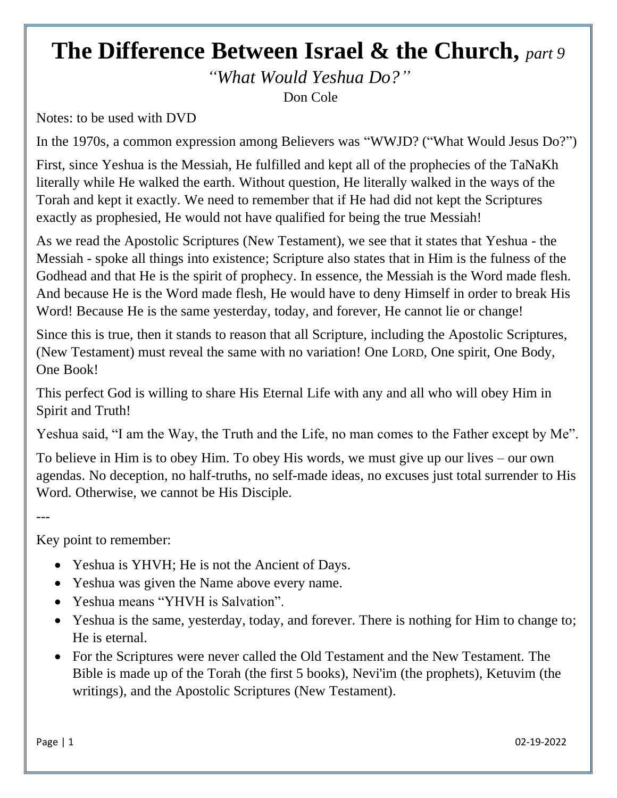## **The Difference Between Israel & the Church,** *part 9*

*"What Would Yeshua Do?"* Don Cole

Notes: to be used with DVD

In the 1970s, a common expression among Believers was "WWJD? ("What Would Jesus Do?")

First, since Yeshua is the Messiah, He fulfilled and kept all of the prophecies of the TaNaKh literally while He walked the earth. Without question, He literally walked in the ways of the Torah and kept it exactly. We need to remember that if He had did not kept the Scriptures exactly as prophesied, He would not have qualified for being the true Messiah!

As we read the Apostolic Scriptures (New Testament), we see that it states that Yeshua - the Messiah - spoke all things into existence; Scripture also states that in Him is the fulness of the Godhead and that He is the spirit of prophecy. In essence, the Messiah is the Word made flesh. And because He is the Word made flesh, He would have to deny Himself in order to break His Word! Because He is the same yesterday, today, and forever, He cannot lie or change!

Since this is true, then it stands to reason that all Scripture, including the Apostolic Scriptures, (New Testament) must reveal the same with no variation! One LORD, One spirit, One Body, One Book!

This perfect God is willing to share His Eternal Life with any and all who will obey Him in Spirit and Truth!

Yeshua said, "I am the Way, the Truth and the Life, no man comes to the Father except by Me".

To believe in Him is to obey Him. To obey His words, we must give up our lives – our own agendas. No deception, no half-truths, no self-made ideas, no excuses just total surrender to His Word. Otherwise, we cannot be His Disciple.

---

Key point to remember:

- Yeshua is YHVH; He is not the Ancient of Days.
- Yeshua was given the Name above every name.
- Yeshua means "YHVH is Salvation".
- Yeshua is the same, yesterday, today, and forever. There is nothing for Him to change to; He is eternal.
- For the Scriptures were never called the Old Testament and the New Testament. The Bible is made up of the Torah (the first 5 books), Nevi'im (the prophets), Ketuvim (the writings), and the Apostolic Scriptures (New Testament).